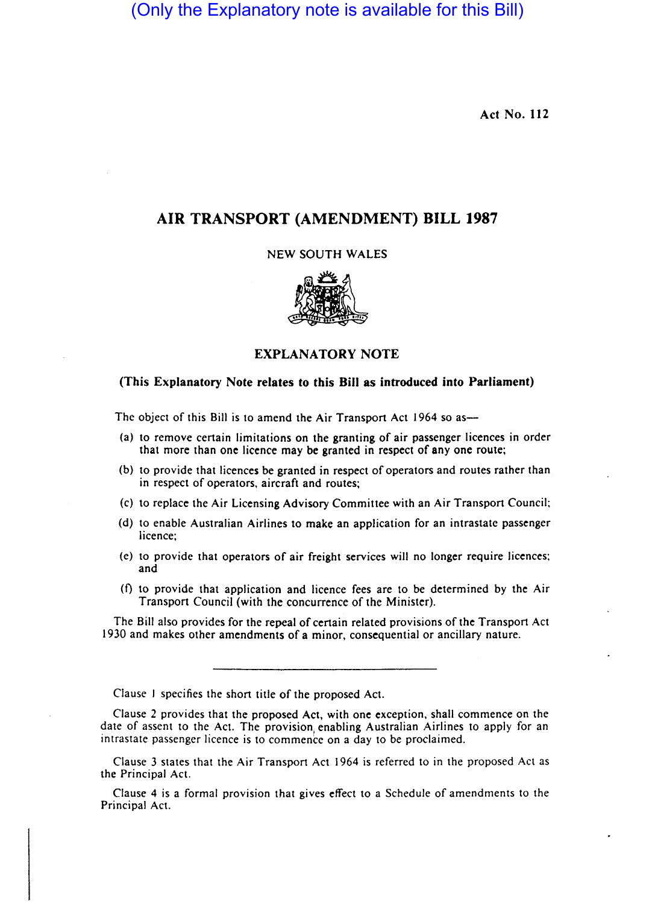(Only the Explanatory note is available for this Bill)

Act No. 112

# AIR TRANSPORT (AMENDMENT) BILL 1987

NEW SOUTH WALES



## EXPLANATORY NOTE

### (This Explanatory Note relates to this Bill as introduced into Parliament)

The object of this Bill is to amend the Air Transport Act 1964 so as-

- (a) to remove certain limitations on the granting of air passenger licences in order that more than one licence may be granted in respect of anyone route;
- (b) to provide that licences be granted in respect of operators and routes rather than in respect of operators, aircraft and routes;
- (c) to replace the Air Licensing Advisory Committee with an Air Transport Council:
- (d) to enable Australian Airlines to make an application for an intrastate passenger licence;
- (e) to provide that operators of air freight services will no longer require licences; and
- $(f)$  to provide that application and licence fees are to be determined by the Air Transport Council (with the concurrence of the Minister).

The Bill also provides for the repeal of certain related provisions of the Transport Act 1930 and makes other amendments of a minor, consequential or ancillary nature.

Clause I specifies the short title of the proposed Act.

Clause 2 provides that the proposed Act, with one exception, shall commence on the date of assent to the Act. The provision enabling Australian Airlines to apply for an intrastate passenger licence is to commence on a day to be proclaimed.

Clause 3 states that the Air Transport Act 1964 is referred to in the proposed Act as the Principal Act.

Clause 4 is a formal provision that gives effect to a Schedule of amendments to the Principal Act.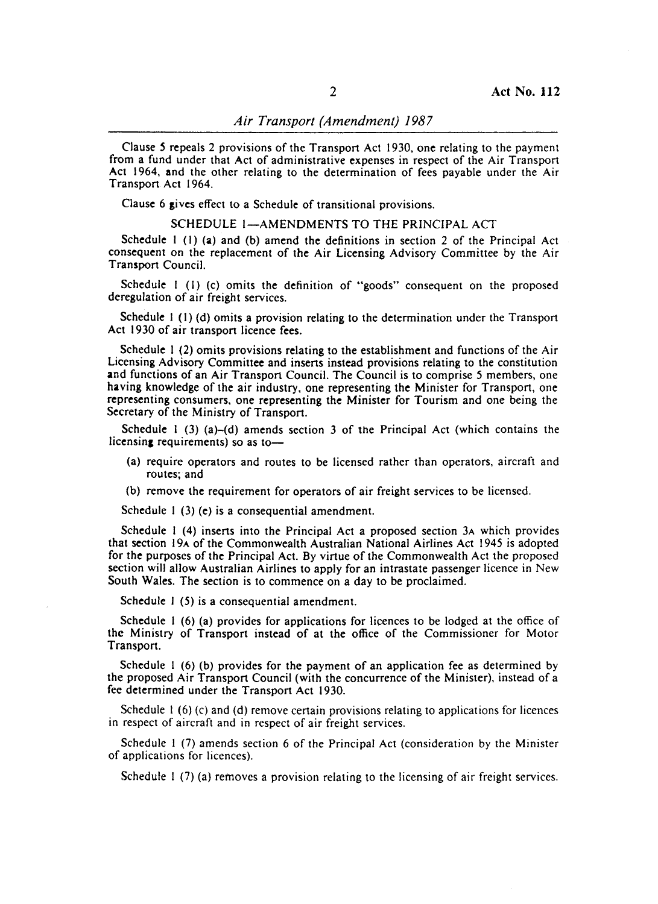Clause *S* repeals 2 provisions of the Transport Act 1930, one relating to the payment from a fund under that Act of administrative expenses in respect of the Air Transport Act 1964, and the other relating to the determination of fees payable under the Air Transport Act 1964.

Clause 6 gives effect to a Schedule of transitional provisions.

#### SCHEDULE 1-AMENDMENTS TO THE PRINCIPAL ACT

Schedule I (I) (a) and (b) amend the definitions in section 2 of the Principal Act consequent on the replacement of the Air Licensing Advisory Committee by the Air Transport Council.

Schedule I (I) (c) omits the definition of "goods" consequent on the proposed deregulation of air freight services.

Schedule I (I) (d) omits a provision relating to the determination under the Transport Act 1930 of air transport licence fees.

Schedule I (2) omits provisions relating to the establishment and functions of the Air Licensing Advisory Committee and inserts instead provisions relating to the constitution and functions of an Air Transport Council. The Council is to comprise 5 members, one having knowledge of the air industry, one representing the Minister for Transport., one representing consumers, one representing the Minister for Tourism and one being the Secretary of the Ministry of Transport.

Schedule I (3) (a)-(d) amends section 3 of the Principal Act (which contains the licensing requirements) so as to-

- (a) require operators and routes to be licensed rather than operators, aircraft and routes; and
- (b) remove the requirement for operators of air freight services to be licensed.

Schedule 1 (3) (e) is a consequential amendment.

Schedule I (4) inserts into the Principal Act a proposed section 3A which provides that section 19A of the Commonwealth Australian National Airlines Act 1945 is adopted for the purposes of the Principal Act. By virtue of the Commonwealth Act the proposed section will allow Australian Airlines to apply for an intrastate passenger licence in New South Wales. The section is to commence on a day to be proclaimed.

Schedule 1 (5) is a consequential amendment.

Schedule 1 (6) (a) provides for applications for licences to be lodged at the office of the Ministry of Transport instead of at the office of the Commissioner for Motor Transport.

Schedule I (6) (b) provides for the payment of an application fee as determined by the proposed Air Transport Council (with the concurrence of the Minister), instead of a fee determined under the Transport Act 1930.

Schedule  $1(6)(c)$  and  $(d)$  remove certain provisions relating to applications for licences in respect of aircraft and in respect of air freight services.

Schedule I (7) amends section 6 of the Principal Act (consideration by the Minister of applications for licences).

Schedule 1 (7) (a) removes a provision relating to the licensing of air freight services.